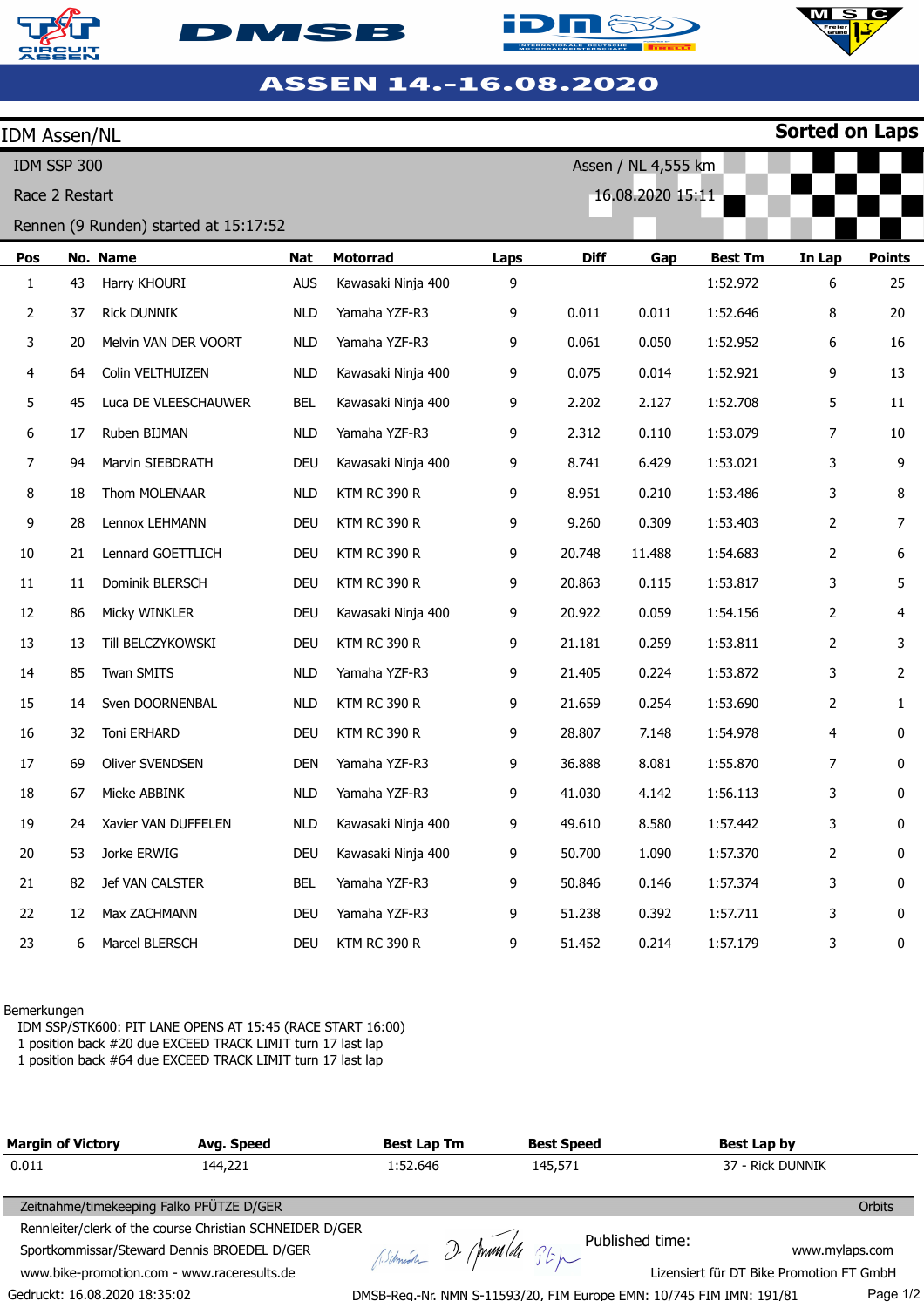







| <b>IDM Assen/NL</b> |    |                                       |            |                     |      |             |                     |                | <b>Sorted on Laps</b> |               |
|---------------------|----|---------------------------------------|------------|---------------------|------|-------------|---------------------|----------------|-----------------------|---------------|
| IDM SSP 300         |    |                                       |            |                     |      |             | Assen / NL 4,555 km |                |                       |               |
| Race 2 Restart      |    |                                       |            |                     |      |             | 16.08.2020 15:11    |                |                       |               |
|                     |    | Rennen (9 Runden) started at 15:17:52 |            |                     |      |             |                     |                |                       |               |
| Pos                 |    | No. Name                              | <b>Nat</b> | <b>Motorrad</b>     | Laps | <b>Diff</b> | Gap                 | <b>Best Tm</b> | In Lap                | <b>Points</b> |
| $\mathbf{1}$        | 43 | Harry KHOURI                          | <b>AUS</b> | Kawasaki Ninja 400  | 9    |             |                     | 1:52.972       | 6                     | 25            |
| $\overline{2}$      | 37 | <b>Rick DUNNIK</b>                    | <b>NLD</b> | Yamaha YZF-R3       | 9    | 0.011       | 0.011               | 1:52.646       | 8                     | 20            |
| 3                   | 20 | Melvin VAN DER VOORT                  | <b>NLD</b> | Yamaha YZF-R3       | 9    | 0.061       | 0.050               | 1:52.952       | 6                     | 16            |
| 4                   | 64 | Colin VELTHUIZEN                      | <b>NLD</b> | Kawasaki Ninja 400  | 9    | 0.075       | 0.014               | 1:52.921       | 9                     | 13            |
| 5                   | 45 | Luca DE VLEESCHAUWER                  | <b>BEL</b> | Kawasaki Ninja 400  | 9    | 2.202       | 2.127               | 1:52.708       | 5                     | 11            |
| 6                   | 17 | Ruben BIJMAN                          | <b>NLD</b> | Yamaha YZF-R3       | 9    | 2.312       | 0.110               | 1:53.079       | 7                     | $10\,$        |
| 7                   | 94 | Marvin SIEBDRATH                      | <b>DEU</b> | Kawasaki Ninja 400  | 9    | 8.741       | 6.429               | 1:53.021       | 3                     | 9             |
| 8                   | 18 | Thom MOLENAAR                         | <b>NLD</b> | <b>KTM RC 390 R</b> | 9    | 8.951       | 0.210               | 1:53.486       | 3                     | 8             |
| 9                   | 28 | Lennox LEHMANN                        | <b>DEU</b> | <b>KTM RC 390 R</b> | 9    | 9.260       | 0.309               | 1:53.403       | 2                     | 7             |
| 10                  | 21 | Lennard GOETTLICH                     | <b>DEU</b> | <b>KTM RC 390 R</b> | 9    | 20.748      | 11.488              | 1:54.683       | $\overline{2}$        | 6             |
| 11                  | 11 | Dominik BLERSCH                       | <b>DEU</b> | KTM RC 390 R        | 9    | 20.863      | 0.115               | 1:53.817       | 3                     | 5             |
| 12                  | 86 | Micky WINKLER                         | <b>DEU</b> | Kawasaki Ninja 400  | 9    | 20.922      | 0.059               | 1:54.156       | 2                     | 4             |
| 13                  | 13 | Till BELCZYKOWSKI                     | <b>DEU</b> | <b>KTM RC 390 R</b> | 9    | 21.181      | 0.259               | 1:53.811       | 2                     | 3             |
| 14                  | 85 | Twan SMITS                            | <b>NLD</b> | Yamaha YZF-R3       | 9    | 21.405      | 0.224               | 1:53.872       | 3                     | 2             |
| 15                  | 14 | Sven DOORNENBAL                       | <b>NLD</b> | <b>KTM RC 390 R</b> | 9    | 21.659      | 0.254               | 1:53.690       | 2                     | $\mathbf{1}$  |
| 16                  | 32 | Toni ERHARD                           | <b>DEU</b> | <b>KTM RC 390 R</b> | 9    | 28.807      | 7.148               | 1:54.978       | 4                     | 0             |
| 17                  | 69 | Oliver SVENDSEN                       | <b>DEN</b> | Yamaha YZF-R3       | 9    | 36.888      | 8.081               | 1:55.870       | 7                     | 0             |
| 18                  | 67 | Mieke ABBINK                          | <b>NLD</b> | Yamaha YZF-R3       | 9    | 41.030      | 4.142               | 1:56.113       | 3                     | 0             |
| 19                  | 24 | Xavier VAN DUFFELEN                   | <b>NLD</b> | Kawasaki Ninja 400  | 9    | 49.610      | 8.580               | 1:57.442       | 3                     | 0             |
| 20                  | 53 | Jorke ERWIG                           | <b>DEU</b> | Kawasaki Ninja 400  | 9    | 50.700      | 1.090               | 1:57.370       | 2                     | 0             |
| 21                  | 82 | Jef VAN CALSTER                       | <b>BEL</b> | Yamaha YZF-R3       | 9    | 50.846      | 0.146               | 1:57.374       | 3                     | 0             |
| 22                  | 12 | Max ZACHMANN                          | <b>DEU</b> | Yamaha YZF-R3       | 9    | 51.238      | 0.392               | 1:57.711       | 3                     | 0             |
| 23                  | 6  | Marcel BLERSCH                        | DEU        | <b>KTM RC 390 R</b> | 9    | 51.452      | 0.214               | 1:57.179       | 3                     | 0             |

## Bemerkungen

IDM SSP/STK600: PIT LANE OPENS AT 15:45 (RACE START 16:00)

1 position back #20 due EXCEED TRACK LIMIT turn 17 last lap

1 position back #64 due EXCEED TRACK LIMIT turn 17 last lap

| <b>Margin of Victory</b>                    | Avg. Speed                                                                                              | <b>Best Lap Tm</b> | <b>Best Speed</b>     |                                                                      | Best Lap by                              |          |
|---------------------------------------------|---------------------------------------------------------------------------------------------------------|--------------------|-----------------------|----------------------------------------------------------------------|------------------------------------------|----------|
| 0.011                                       | 144,221                                                                                                 | 1:52.646           | 145,571               |                                                                      | 37 - Rick DUNNIK                         |          |
| Zeitnahme/timekeeping Falko PFÜTZE D/GER    |                                                                                                         |                    |                       |                                                                      |                                          | Orbits   |
|                                             | Rennleiter/clerk of the course Christian SCHNEIDER D/GER<br>Sportkommissar/Steward Dennis BROEDEL D/GER |                    | Astmedia 2 Ann 11 St. |                                                                      | www.mylaps.com                           |          |
| www.bike-promotion.com - www.raceresults.de |                                                                                                         |                    |                       |                                                                      | Lizensiert für DT Bike Promotion FT GmbH |          |
| Gedruckt: 16.08.2020 18:35:02               |                                                                                                         |                    |                       | DMSB-Reg.-Nr. NMN S-11593/20, FIM Europe EMN: 10/745 FIM IMN: 191/81 |                                          | Page 1/2 |

DMSB-Reg.-Nr. NMN S-11593/20, FIM Europe EMN: 10/745 FIM IMN: 191/81

Page 1/2

 $\overline{\mathbf{C}}$